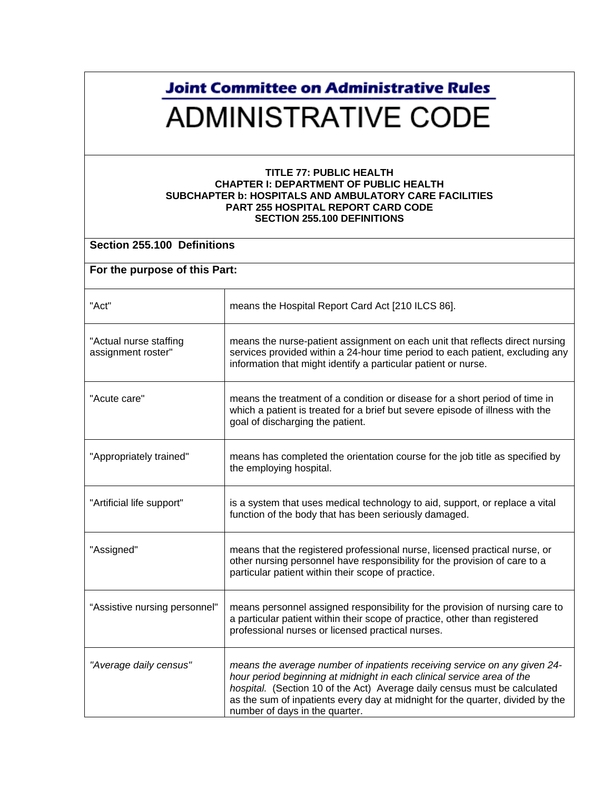## **Joint Committee on Administrative Rules ADMINISTRATIVE CODE**

## **TITLE 77: PUBLIC HEALTH CHAPTER I: DEPARTMENT OF PUBLIC HEALTH SUBCHAPTER b: HOSPITALS AND AMBULATORY CARE FACILITIES PART 255 HOSPITAL REPORT CARD CODE SECTION 255.100 DEFINITIONS**

| Section 255.100 Definitions                  |                                                                                                                                                                                                                                                                                                                                                      |  |
|----------------------------------------------|------------------------------------------------------------------------------------------------------------------------------------------------------------------------------------------------------------------------------------------------------------------------------------------------------------------------------------------------------|--|
| For the purpose of this Part:                |                                                                                                                                                                                                                                                                                                                                                      |  |
| "Act"                                        | means the Hospital Report Card Act [210 ILCS 86].                                                                                                                                                                                                                                                                                                    |  |
| "Actual nurse staffing<br>assignment roster" | means the nurse-patient assignment on each unit that reflects direct nursing<br>services provided within a 24-hour time period to each patient, excluding any<br>information that might identify a particular patient or nurse.                                                                                                                      |  |
| "Acute care"                                 | means the treatment of a condition or disease for a short period of time in<br>which a patient is treated for a brief but severe episode of illness with the<br>goal of discharging the patient.                                                                                                                                                     |  |
| "Appropriately trained"                      | means has completed the orientation course for the job title as specified by<br>the employing hospital.                                                                                                                                                                                                                                              |  |
| "Artificial life support"                    | is a system that uses medical technology to aid, support, or replace a vital<br>function of the body that has been seriously damaged.                                                                                                                                                                                                                |  |
| "Assigned"                                   | means that the registered professional nurse, licensed practical nurse, or<br>other nursing personnel have responsibility for the provision of care to a<br>particular patient within their scope of practice.                                                                                                                                       |  |
| "Assistive nursing personnel"                | means personnel assigned responsibility for the provision of nursing care to<br>a particular patient within their scope of practice, other than registered<br>professional nurses or licensed practical nurses.                                                                                                                                      |  |
| "Average daily census"                       | means the average number of inpatients receiving service on any given 24-<br>hour period beginning at midnight in each clinical service area of the<br>hospital. (Section 10 of the Act) Average daily census must be calculated<br>as the sum of inpatients every day at midnight for the quarter, divided by the<br>number of days in the quarter. |  |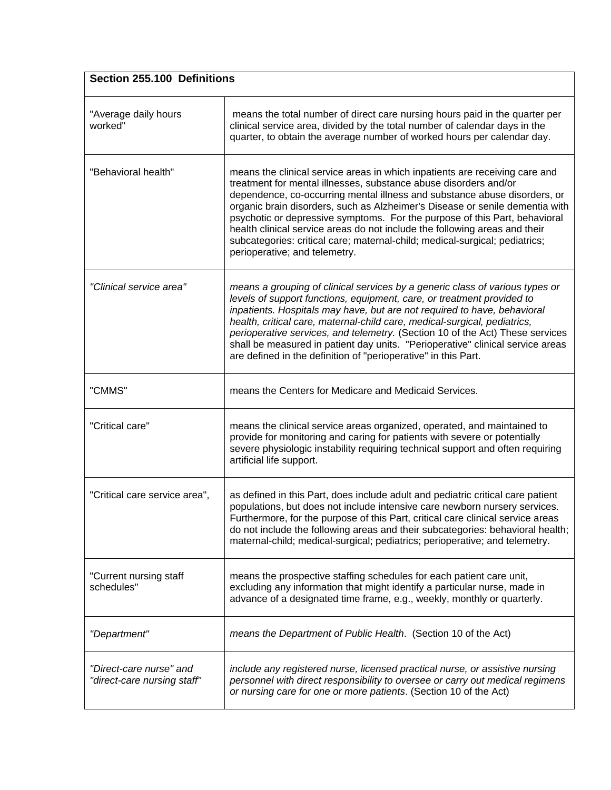| Section 255.100 Definitions                            |                                                                                                                                                                                                                                                                                                                                                                                                                                                                                                                                                                                          |
|--------------------------------------------------------|------------------------------------------------------------------------------------------------------------------------------------------------------------------------------------------------------------------------------------------------------------------------------------------------------------------------------------------------------------------------------------------------------------------------------------------------------------------------------------------------------------------------------------------------------------------------------------------|
| "Average daily hours<br>worked"                        | means the total number of direct care nursing hours paid in the quarter per<br>clinical service area, divided by the total number of calendar days in the<br>quarter, to obtain the average number of worked hours per calendar day.                                                                                                                                                                                                                                                                                                                                                     |
| "Behavioral health"                                    | means the clinical service areas in which inpatients are receiving care and<br>treatment for mental illnesses, substance abuse disorders and/or<br>dependence, co-occurring mental illness and substance abuse disorders, or<br>organic brain disorders, such as Alzheimer's Disease or senile dementia with<br>psychotic or depressive symptoms. For the purpose of this Part, behavioral<br>health clinical service areas do not include the following areas and their<br>subcategories: critical care; maternal-child; medical-surgical; pediatrics;<br>perioperative; and telemetry. |
| "Clinical service area"                                | means a grouping of clinical services by a generic class of various types or<br>levels of support functions, equipment, care, or treatment provided to<br>inpatients. Hospitals may have, but are not required to have, behavioral<br>health, critical care, maternal-child care, medical-surgical, pediatrics,<br>perioperative services, and telemetry. (Section 10 of the Act) These services<br>shall be measured in patient day units. "Perioperative" clinical service areas<br>are defined in the definition of "perioperative" in this Part.                                     |
| "CMMS"                                                 | means the Centers for Medicare and Medicaid Services.                                                                                                                                                                                                                                                                                                                                                                                                                                                                                                                                    |
| "Critical care"                                        | means the clinical service areas organized, operated, and maintained to<br>provide for monitoring and caring for patients with severe or potentially<br>severe physiologic instability requiring technical support and often requiring<br>artificial life support.                                                                                                                                                                                                                                                                                                                       |
| "Critical care service area",                          | as defined in this Part, does include adult and pediatric critical care patient<br>populations, but does not include intensive care newborn nursery services.<br>Furthermore, for the purpose of this Part, critical care clinical service areas<br>do not include the following areas and their subcategories: behavioral health;<br>maternal-child; medical-surgical; pediatrics; perioperative; and telemetry.                                                                                                                                                                        |
| "Current nursing staff<br>schedules"                   | means the prospective staffing schedules for each patient care unit,<br>excluding any information that might identify a particular nurse, made in<br>advance of a designated time frame, e.g., weekly, monthly or quarterly.                                                                                                                                                                                                                                                                                                                                                             |
| "Department"                                           | means the Department of Public Health. (Section 10 of the Act)                                                                                                                                                                                                                                                                                                                                                                                                                                                                                                                           |
| "Direct-care nurse" and<br>"direct-care nursing staff" | include any registered nurse, licensed practical nurse, or assistive nursing<br>personnel with direct responsibility to oversee or carry out medical regimens<br>or nursing care for one or more patients. (Section 10 of the Act)                                                                                                                                                                                                                                                                                                                                                       |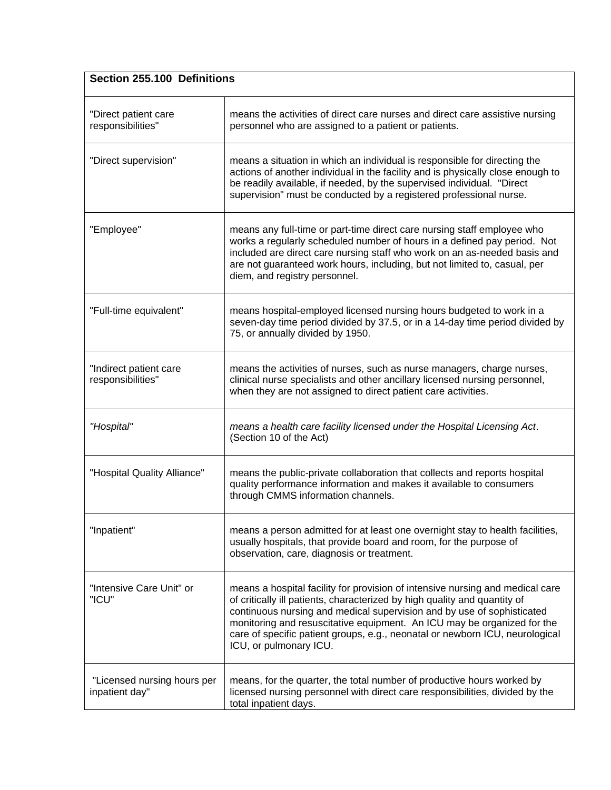| Section 255.100 Definitions                   |                                                                                                                                                                                                                                                                                                                                                                                                                           |  |
|-----------------------------------------------|---------------------------------------------------------------------------------------------------------------------------------------------------------------------------------------------------------------------------------------------------------------------------------------------------------------------------------------------------------------------------------------------------------------------------|--|
| "Direct patient care<br>responsibilities"     | means the activities of direct care nurses and direct care assistive nursing<br>personnel who are assigned to a patient or patients.                                                                                                                                                                                                                                                                                      |  |
| "Direct supervision"                          | means a situation in which an individual is responsible for directing the<br>actions of another individual in the facility and is physically close enough to<br>be readily available, if needed, by the supervised individual. "Direct<br>supervision" must be conducted by a registered professional nurse.                                                                                                              |  |
| "Employee"                                    | means any full-time or part-time direct care nursing staff employee who<br>works a regularly scheduled number of hours in a defined pay period. Not<br>included are direct care nursing staff who work on an as-needed basis and<br>are not guaranteed work hours, including, but not limited to, casual, per<br>diem, and registry personnel.                                                                            |  |
| "Full-time equivalent"                        | means hospital-employed licensed nursing hours budgeted to work in a<br>seven-day time period divided by 37.5, or in a 14-day time period divided by<br>75, or annually divided by 1950.                                                                                                                                                                                                                                  |  |
| "Indirect patient care<br>responsibilities"   | means the activities of nurses, such as nurse managers, charge nurses,<br>clinical nurse specialists and other ancillary licensed nursing personnel,<br>when they are not assigned to direct patient care activities.                                                                                                                                                                                                     |  |
| "Hospital"                                    | means a health care facility licensed under the Hospital Licensing Act.<br>(Section 10 of the Act)                                                                                                                                                                                                                                                                                                                        |  |
| "Hospital Quality Alliance"                   | means the public-private collaboration that collects and reports hospital<br>quality performance information and makes it available to consumers<br>through CMMS information channels.                                                                                                                                                                                                                                    |  |
| "Inpatient"                                   | means a person admitted for at least one overnight stay to health facilities,<br>usually hospitals, that provide board and room, for the purpose of<br>observation, care, diagnosis or treatment.                                                                                                                                                                                                                         |  |
| "Intensive Care Unit" or<br>"ICU"             | means a hospital facility for provision of intensive nursing and medical care<br>of critically ill patients, characterized by high quality and quantity of<br>continuous nursing and medical supervision and by use of sophisticated<br>monitoring and resuscitative equipment. An ICU may be organized for the<br>care of specific patient groups, e.g., neonatal or newborn ICU, neurological<br>ICU, or pulmonary ICU. |  |
| "Licensed nursing hours per<br>inpatient day" | means, for the quarter, the total number of productive hours worked by<br>licensed nursing personnel with direct care responsibilities, divided by the<br>total inpatient days.                                                                                                                                                                                                                                           |  |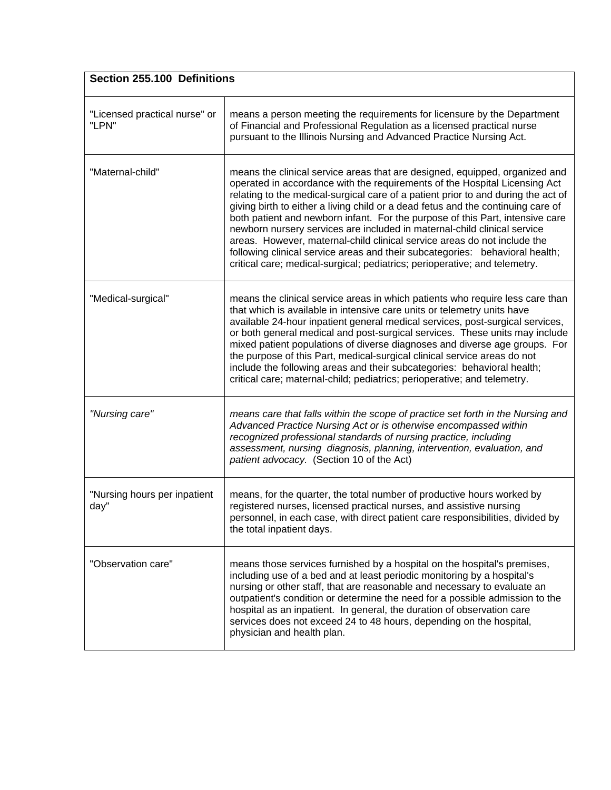| Section 255.100 Definitions            |                                                                                                                                                                                                                                                                                                                                                                                                                                                                                                                                                                                                                                                                                                                                           |  |
|----------------------------------------|-------------------------------------------------------------------------------------------------------------------------------------------------------------------------------------------------------------------------------------------------------------------------------------------------------------------------------------------------------------------------------------------------------------------------------------------------------------------------------------------------------------------------------------------------------------------------------------------------------------------------------------------------------------------------------------------------------------------------------------------|--|
| "Licensed practical nurse" or<br>"LPN" | means a person meeting the requirements for licensure by the Department<br>of Financial and Professional Regulation as a licensed practical nurse<br>pursuant to the Illinois Nursing and Advanced Practice Nursing Act.                                                                                                                                                                                                                                                                                                                                                                                                                                                                                                                  |  |
| "Maternal-child"                       | means the clinical service areas that are designed, equipped, organized and<br>operated in accordance with the requirements of the Hospital Licensing Act<br>relating to the medical-surgical care of a patient prior to and during the act of<br>giving birth to either a living child or a dead fetus and the continuing care of<br>both patient and newborn infant. For the purpose of this Part, intensive care<br>newborn nursery services are included in maternal-child clinical service<br>areas. However, maternal-child clinical service areas do not include the<br>following clinical service areas and their subcategories: behavioral health;<br>critical care; medical-surgical; pediatrics; perioperative; and telemetry. |  |
| "Medical-surgical"                     | means the clinical service areas in which patients who require less care than<br>that which is available in intensive care units or telemetry units have<br>available 24-hour inpatient general medical services, post-surgical services,<br>or both general medical and post-surgical services. These units may include<br>mixed patient populations of diverse diagnoses and diverse age groups. For<br>the purpose of this Part, medical-surgical clinical service areas do not<br>include the following areas and their subcategories: behavioral health;<br>critical care; maternal-child; pediatrics; perioperative; and telemetry.                                                                                                 |  |
| "Nursing care"                         | means care that falls within the scope of practice set forth in the Nursing and<br>Advanced Practice Nursing Act or is otherwise encompassed within<br>recognized professional standards of nursing practice, including<br>assessment, nursing diagnosis, planning, intervention, evaluation, and<br>patient advocacy. (Section 10 of the Act)                                                                                                                                                                                                                                                                                                                                                                                            |  |
| "Nursing hours per inpatient<br>day"   | means, for the quarter, the total number of productive hours worked by<br>registered nurses, licensed practical nurses, and assistive nursing<br>personnel, in each case, with direct patient care responsibilities, divided by<br>the total inpatient days.                                                                                                                                                                                                                                                                                                                                                                                                                                                                              |  |
| "Observation care"                     | means those services furnished by a hospital on the hospital's premises,<br>including use of a bed and at least periodic monitoring by a hospital's<br>nursing or other staff, that are reasonable and necessary to evaluate an<br>outpatient's condition or determine the need for a possible admission to the<br>hospital as an inpatient. In general, the duration of observation care<br>services does not exceed 24 to 48 hours, depending on the hospital,<br>physician and health plan.                                                                                                                                                                                                                                            |  |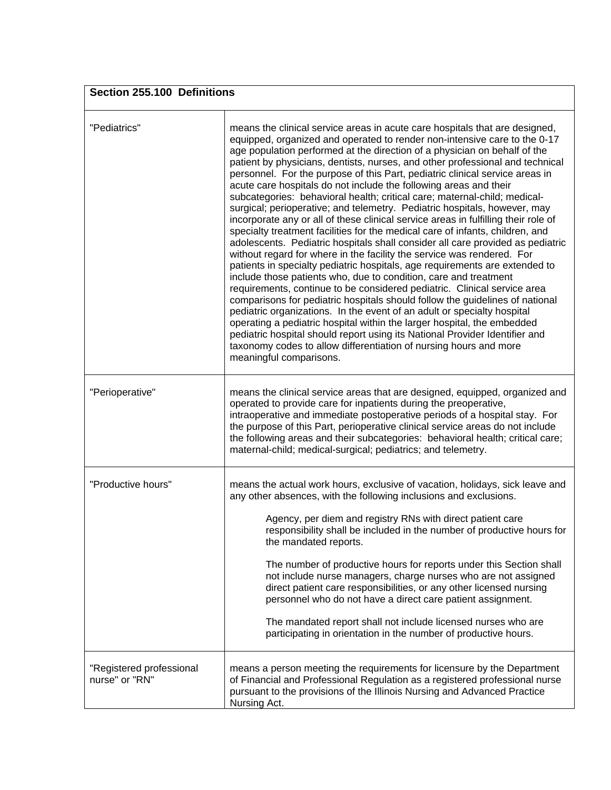| Section 255.100 Definitions                |                                                                                                                                                                                                                                                                                                                                                                                                                                                                                                                                                                                                                                                                                                                                                                                                                                                                                                                                                                                                                                                                                                                                                                                                                                                                                                                                                                                                                                                                                                                                                                                                                              |  |
|--------------------------------------------|------------------------------------------------------------------------------------------------------------------------------------------------------------------------------------------------------------------------------------------------------------------------------------------------------------------------------------------------------------------------------------------------------------------------------------------------------------------------------------------------------------------------------------------------------------------------------------------------------------------------------------------------------------------------------------------------------------------------------------------------------------------------------------------------------------------------------------------------------------------------------------------------------------------------------------------------------------------------------------------------------------------------------------------------------------------------------------------------------------------------------------------------------------------------------------------------------------------------------------------------------------------------------------------------------------------------------------------------------------------------------------------------------------------------------------------------------------------------------------------------------------------------------------------------------------------------------------------------------------------------------|--|
| "Pediatrics"                               | means the clinical service areas in acute care hospitals that are designed,<br>equipped, organized and operated to render non-intensive care to the 0-17<br>age population performed at the direction of a physician on behalf of the<br>patient by physicians, dentists, nurses, and other professional and technical<br>personnel. For the purpose of this Part, pediatric clinical service areas in<br>acute care hospitals do not include the following areas and their<br>subcategories: behavioral health; critical care; maternal-child; medical-<br>surgical; perioperative; and telemetry. Pediatric hospitals, however, may<br>incorporate any or all of these clinical service areas in fulfilling their role of<br>specialty treatment facilities for the medical care of infants, children, and<br>adolescents. Pediatric hospitals shall consider all care provided as pediatric<br>without regard for where in the facility the service was rendered. For<br>patients in specialty pediatric hospitals, age requirements are extended to<br>include those patients who, due to condition, care and treatment<br>requirements, continue to be considered pediatric. Clinical service area<br>comparisons for pediatric hospitals should follow the guidelines of national<br>pediatric organizations. In the event of an adult or specialty hospital<br>operating a pediatric hospital within the larger hospital, the embedded<br>pediatric hospital should report using its National Provider Identifier and<br>taxonomy codes to allow differentiation of nursing hours and more<br>meaningful comparisons. |  |
| "Perioperative"                            | means the clinical service areas that are designed, equipped, organized and<br>operated to provide care for inpatients during the preoperative,<br>intraoperative and immediate postoperative periods of a hospital stay. For<br>the purpose of this Part, perioperative clinical service areas do not include<br>the following areas and their subcategories: behavioral health; critical care;<br>maternal-child; medical-surgical; pediatrics; and telemetry.                                                                                                                                                                                                                                                                                                                                                                                                                                                                                                                                                                                                                                                                                                                                                                                                                                                                                                                                                                                                                                                                                                                                                             |  |
| "Productive hours"                         | means the actual work hours, exclusive of vacation, holidays, sick leave and<br>any other absences, with the following inclusions and exclusions.<br>Agency, per diem and registry RNs with direct patient care<br>responsibility shall be included in the number of productive hours for<br>the mandated reports.<br>The number of productive hours for reports under this Section shall<br>not include nurse managers, charge nurses who are not assigned<br>direct patient care responsibilities, or any other licensed nursing<br>personnel who do not have a direct care patient assignment.<br>The mandated report shall not include licensed nurses who are<br>participating in orientation in the number of productive hours.                                                                                                                                                                                                                                                                                                                                                                                                                                                                                                                                                                                                                                                                                                                                                                                                                                                                                        |  |
| "Registered professional<br>nurse" or "RN" | means a person meeting the requirements for licensure by the Department<br>of Financial and Professional Regulation as a registered professional nurse<br>pursuant to the provisions of the Illinois Nursing and Advanced Practice<br>Nursing Act.                                                                                                                                                                                                                                                                                                                                                                                                                                                                                                                                                                                                                                                                                                                                                                                                                                                                                                                                                                                                                                                                                                                                                                                                                                                                                                                                                                           |  |